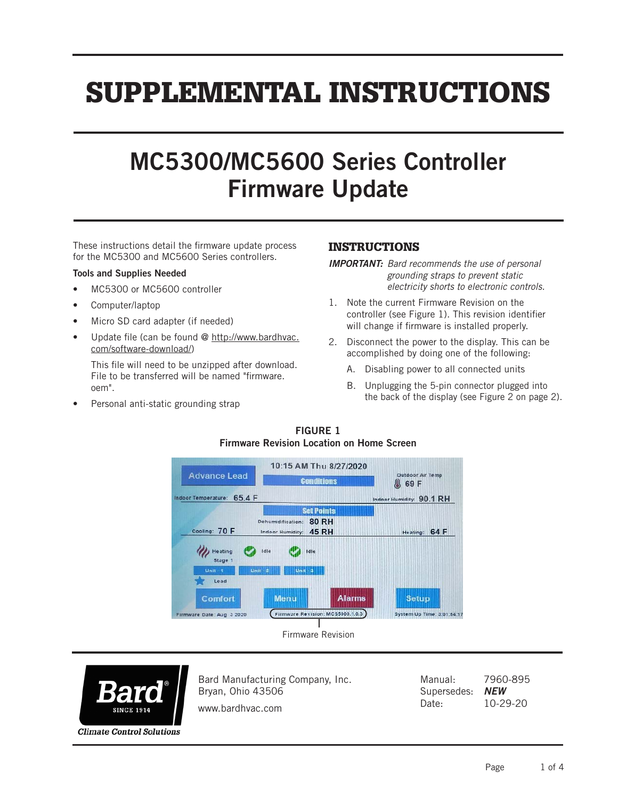# SUPPLEMENTAL INSTRUCTIONS

# MC5300/MC5600 Series Controller Firmware Update

These instructions detail the firmware update process for the MC5300 and MC5600 Series controllers.

#### Tools and Supplies Needed

- MC5300 or MC5600 controller
- Computer/laptop
- Micro SD card adapter (if needed)
- Update file (can be found @ http://www.bardhvac. com/software-download/)

This file will need to be unzipped after download. File to be transferred will be named "firmware. oem".

Personal anti-static grounding strap

## INSTRUCTIONS

*IMPORTANT: Bard recommends the use of personal grounding straps to prevent static electricity shorts to electronic controls.*

- 1. Note the current Firmware Revision on the controller (see Figure 1). This revision identifier will change if firmware is installed properly.
- 2. Disconnect the power to the display. This can be accomplished by doing one of the following:
	- A. Disabling power to all connected units
	- B. Unplugging the 5-pin connector plugged into the back of the display (see Figure 2 on page 2).



FIGURE 1



Bard Manufacturing Company, Inc. Bryan, Ohio 43506

Manual: 7960-895 Supersedes: *NEW* Date: 10-29-20

www.bardhvac.com

**Climate Control Solutions**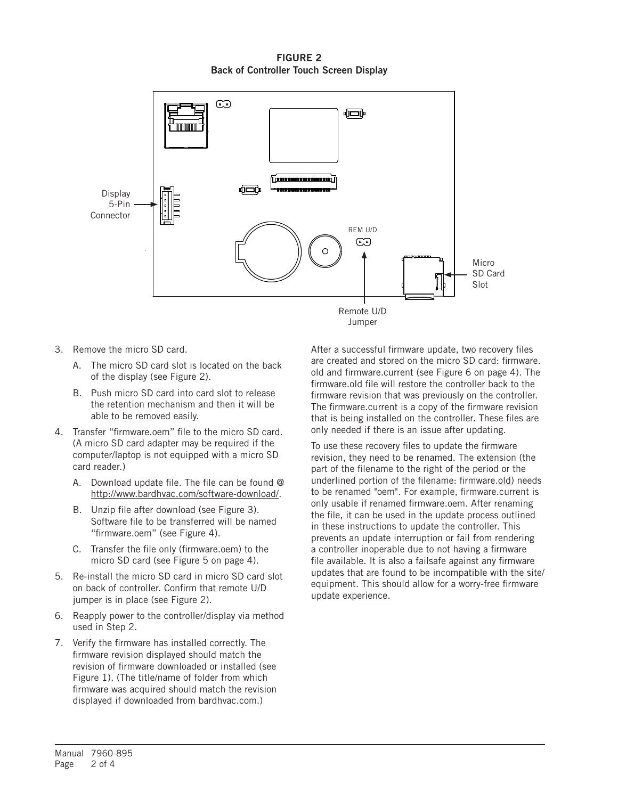FIGURE 2 Back of Controller Touch Screen Display



- 3. Remove the micro SD card.
	- A. The micro SD card slot is located on the back of the display (see Figure 2).
	- B. Push micro SD card into card slot to release the retention mechanism and then it will be able to be removed easily.
- 4. Transfer "firmware.oem" file to the micro SD card. (A micro SD card adapter may be required if the computer/laptop is not equipped with a micro SD card reader.)
	- A. Download update file. The file can be found @ http://www.bardhvac.com/software-download/.
	- B. Unzip file after download (see Figure 3). Software file to be transferred will be named "firmware.oem" (see Figure 4).
	- C. Transfer the file only (firmware.oem) to the micro SD card (see Figure 5 on page 4).
- 5. Re-install the micro SD card in micro SD card slot on back of controller. Confirm that remote U/D jumper is in place (see Figure 2).
- 6. Reapply power to the controller/display via method used in Step 2.
- 7. Verify the firmware has installed correctly. The firmware revision displayed should match the revision of firmware downloaded or installed (see Figure 1). (The title/name of folder from which firmware was acquired should match the revision displayed if downloaded from bardhvac.com.)

After a successful firmware update, two recovery files are created and stored on the micro SD card: firmware. old and firmware.current (see Figure 6 on page 4). The firmware.old file will restore the controller back to the firmware revision that was previously on the controller. The firmware.current is a copy of the firmware revision that is being installed on the controller. These files are only needed if there is an issue after updating.

To use these recovery files to update the firmware revision, they need to be renamed. The extension (the part of the filename to the right of the period or the underlined portion of the filename: firmware.old) needs to be renamed "oem". For example, firmware.current is only usable if renamed firmware.oem. After renaming the file, it can be used in the update process outlined in these instructions to update the controller. This prevents an update interruption or fail from rendering a controller inoperable due to not having a firmware file available. It is also a failsafe against any firmware updates that are found to be incompatible with the site/ equipment. This should allow for a worry-free firmware update experience.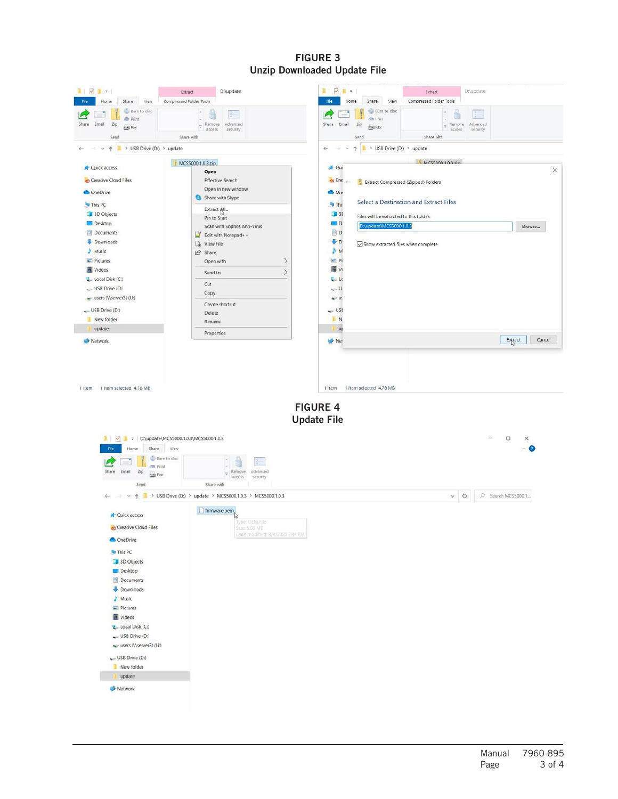### FIGURE 3 Unzip Downloaded Update File